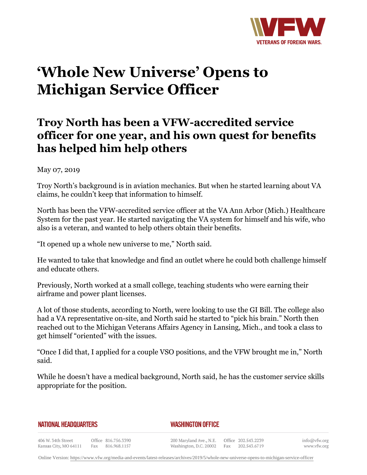

# **'Whole New Universe' Opens to Michigan Service Officer**

# **Troy North has been a VFW-accredited service officer for one year, and his own quest for benefits has helped him help others**

### May 07, 2019

Troy North's background is in aviation mechanics. But when he started learning about VA claims, he couldn't keep that information to himself.

North has been the VFW-accredited service officer at the VA Ann Arbor (Mich.) Healthcare System for the past year. He started navigating the VA system for himself and his wife, who also is a veteran, and wanted to help others obtain their benefits.

"It opened up a whole new universe to me," North said.

He wanted to take that knowledge and find an outlet where he could both challenge himself and educate others.

Previously, North worked at a small college, teaching students who were earning their airframe and power plant licenses.

A lot of those students, according to North, were looking to use the GI Bill. The college also had a VA representative on-site, and North said he started to "pick his brain." North then reached out to the Michigan Veterans Affairs Agency in Lansing, Mich., and took a class to get himself "oriented" with the issues.

"Once I did that, I applied for a couple VSO positions, and the VFW brought me in," North said.

While he doesn't have a medical background, North said, he has the customer service skills appropriate for the position.

#### **NATIONAL HEADQUARTERS**

#### *WASHINGTON OFFICE*

406 W. 34th Street Office 816.756.3390 Kansas City, MO 64111 Fax 816.968.1157

200 Maryland Ave., N.E. Washington, D.C. 20002

Office 202.543.2239 Fax 202.543.6719 info@vfw.org www.vfw.org

Online Version:<https://www.vfw.org/media-and-events/latest-releases/archives/2019/5/whole-new-universe-opens-to-michigan-service-officer>